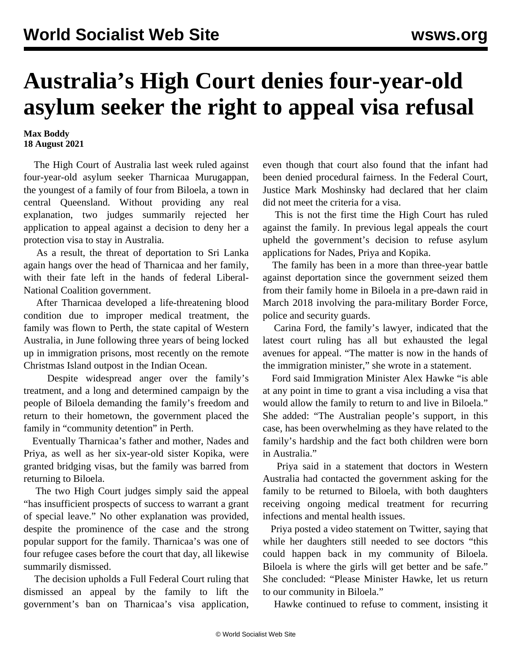## **Australia's High Court denies four-year-old asylum seeker the right to appeal visa refusal**

## **Max Boddy 18 August 2021**

 The High Court of Australia last week ruled against four-year-old asylum seeker Tharnicaa Murugappan, the youngest of a family of four from Biloela, a town in central Queensland. Without providing any real explanation, two judges summarily rejected her application to appeal against a decision to deny her a protection visa to stay in Australia.

 As a result, the threat of deportation to Sri Lanka again hangs over the head of Tharnicaa and her family, with their fate left in the hands of federal Liberal-National Coalition government.

 After Tharnicaa developed a life-threatening blood condition due to improper medical treatment, the family was flown to Perth, the state capital of Western Australia, in June following three years of being locked up in immigration prisons, most recently on the remote Christmas Island outpost in the Indian Ocean.

 Despite widespread anger over the family's treatment, and a long and determined campaign by the people of Biloela demanding the family's freedom and return to their hometown, the government placed the family in "community detention" in Perth.

 Eventually Tharnicaa's father and mother, Nades and Priya, as well as her six-year-old sister Kopika, were granted bridging visas, but the family was barred from returning to Biloela.

 The two High Court judges simply said the appeal "has insufficient prospects of success to warrant a grant of special leave." No other explanation was provided, despite the prominence of the case and the strong popular support for the family. Tharnicaa's was one of four refugee cases before the court that day, all likewise summarily dismissed.

 The decision upholds a Full Federal Court ruling that dismissed an appeal by the family to lift the government's ban on Tharnicaa's visa application, even though that court also found that the infant had been denied procedural fairness. In the Federal Court, Justice Mark Moshinsky had declared that her claim did not meet the [criteria for a visa.](/en/articles/2020/04/23/refu-a23.html)

 This is not the first time the High Court has ruled against the family. In previous legal appeals the court upheld the government's decision to refuse asylum applications for Nades, Priya and Kopika.

 The family has been in a more than three-year battle against deportation since the government seized them from their family home in Biloela in a pre-dawn raid in March 2018 involving the para-military Border Force, police and security guards.

 Carina Ford, the family's lawyer, indicated that the latest court ruling has all but exhausted the legal avenues for appeal. "The matter is now in the hands of the immigration minister," she wrote in a statement.

 Ford said Immigration Minister Alex Hawke "is able at any point in time to grant a visa including a visa that would allow the family to return to and live in Biloela." She added: "The Australian people's support, in this case, has been overwhelming as they have related to the family's hardship and the fact both children were born in Australia."

 Priya said in a statement that doctors in Western Australia had contacted the government asking for the family to be returned to Biloela, with both daughters receiving ongoing medical treatment for recurring infections and mental health issues.

 Priya posted a video statement on Twitter, saying that while her daughters still needed to see doctors "this could happen back in my community of Biloela. Biloela is where the girls will get better and be safe." She concluded: "Please Minister Hawke, let us return to our community in Biloela."

Hawke continued to refuse to comment, insisting it